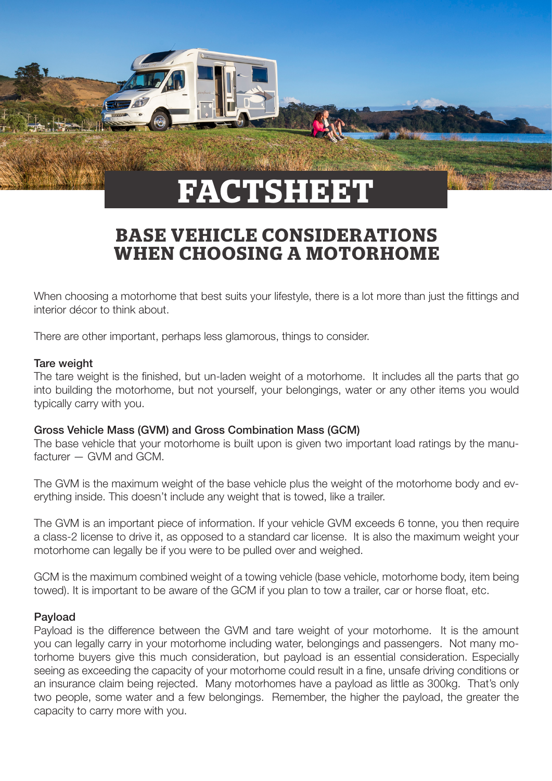

# **BASE VEHICLE CONSIDERATIONS WHEN CHOOSING A MOTORHOME**

When choosing a motorhome that best suits your lifestyle, there is a lot more than just the fittings and interior décor to think about.

There are other important, perhaps less glamorous, things to consider.

#### Tare weight

The tare weight is the finished, but un-laden weight of a motorhome. It includes all the parts that go into building the motorhome, but not yourself, your belongings, water or any other items you would typically carry with you.

### Gross Vehicle Mass (GVM) and Gross Combination Mass (GCM)

The base vehicle that your motorhome is built upon is given two important load ratings by the manufacturer  $-$  GVM and GCM

The GVM is the maximum weight of the base vehicle plus the weight of the motorhome body and everything inside. This doesn't include any weight that is towed, like a trailer.

The GVM is an important piece of information. If your vehicle GVM exceeds 6 tonne, you then require a class-2 license to drive it, as opposed to a standard car license. It is also the maximum weight your motorhome can legally be if you were to be pulled over and weighed.

GCM is the maximum combined weight of a towing vehicle (base vehicle, motorhome body, item being towed). It is important to be aware of the GCM if you plan to tow a trailer, car or horse float, etc.

### Payload

Payload is the difference between the GVM and tare weight of your motorhome. It is the amount you can legally carry in your motorhome including water, belongings and passengers. Not many motorhome buyers give this much consideration, but payload is an essential consideration. Especially seeing as exceeding the capacity of your motorhome could result in a fine, unsafe driving conditions or an insurance claim being rejected. Many motorhomes have a payload as little as 300kg. That's only two people, some water and a few belongings. Remember, the higher the payload, the greater the capacity to carry more with you.